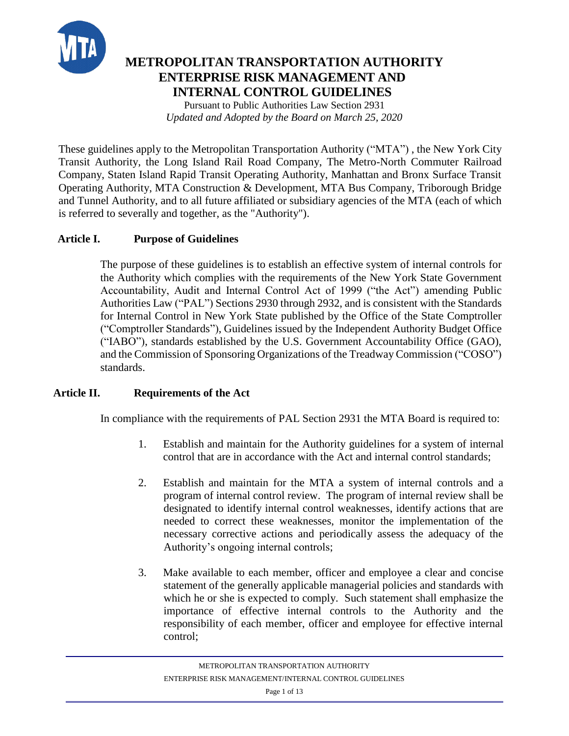

# **METROPOLITAN TRANSPORTATION AUTHORITY ENTERPRISE RISK MANAGEMENT AND INTERNAL CONTROL GUIDELINES**

Pursuant to Public Authorities Law Section 2931 *Updated and Adopted by the Board on March 25, 2020*

These guidelines apply to the Metropolitan Transportation Authority ("MTA") , the New York City Transit Authority, the Long Island Rail Road Company, The Metro-North Commuter Railroad Company, Staten Island Rapid Transit Operating Authority, Manhattan and Bronx Surface Transit Operating Authority, MTA Construction & Development, MTA Bus Company, Triborough Bridge and Tunnel Authority, and to all future affiliated or subsidiary agencies of the MTA (each of which is referred to severally and together, as the "Authority").

# **Article I. Purpose of Guidelines**

The purpose of these guidelines is to establish an effective system of internal controls for the Authority which complies with the requirements of the New York State Government Accountability, Audit and Internal Control Act of 1999 ("the Act") amending Public Authorities Law ("PAL") Sections 2930 through 2932, and is consistent with the Standards for Internal Control in New York State published by the Office of the State Comptroller ("Comptroller Standards"), Guidelines issued by the Independent Authority Budget Office ("IABO"), standards established by the U.S. Government Accountability Office (GAO), and the Commission of Sponsoring Organizations of the Treadway Commission ("COSO") standards.

### **Article II. Requirements of the Act**

In compliance with the requirements of PAL Section 2931 the MTA Board is required to:

- 1. Establish and maintain for the Authority guidelines for a system of internal control that are in accordance with the Act and internal control standards;
- 2. Establish and maintain for the MTA a system of internal controls and a program of internal control review. The program of internal review shall be designated to identify internal control weaknesses, identify actions that are needed to correct these weaknesses, monitor the implementation of the necessary corrective actions and periodically assess the adequacy of the Authority's ongoing internal controls;
- 3. Make available to each member, officer and employee a clear and concise statement of the generally applicable managerial policies and standards with which he or she is expected to comply. Such statement shall emphasize the importance of effective internal controls to the Authority and the responsibility of each member, officer and employee for effective internal control;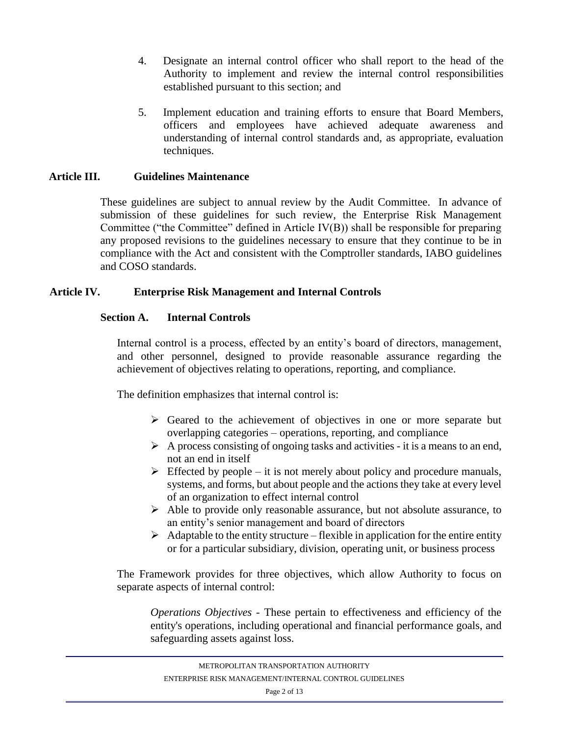- 4. Designate an internal control officer who shall report to the head of the Authority to implement and review the internal control responsibilities established pursuant to this section; and
- 5. Implement education and training efforts to ensure that Board Members, officers and employees have achieved adequate awareness and understanding of internal control standards and, as appropriate, evaluation techniques.

### **Article III. Guidelines Maintenance**

These guidelines are subject to annual review by the Audit Committee. In advance of submission of these guidelines for such review, the Enterprise Risk Management Committee ("the Committee" defined in Article IV(B)) shall be responsible for preparing any proposed revisions to the guidelines necessary to ensure that they continue to be in compliance with the Act and consistent with the Comptroller standards, IABO guidelines and COSO standards.

# **Article IV. Enterprise Risk Management and Internal Controls**

# **Section A. Internal Controls**

Internal control is a process, effected by an entity's board of directors, management, and other personnel, designed to provide reasonable assurance regarding the achievement of objectives relating to operations, reporting, and compliance.

The definition emphasizes that internal control is:

- ➢ Geared to the achievement of objectives in one or more separate but overlapping categories – operations, reporting, and compliance
- $\triangleright$  A process consisting of ongoing tasks and activities it is a means to an end, not an end in itself
- $\triangleright$  Effected by people it is not merely about policy and procedure manuals, systems, and forms, but about people and the actions they take at every level of an organization to effect internal control
- ➢ Able to provide only reasonable assurance, but not absolute assurance, to an entity's senior management and board of directors
- $\triangleright$  Adaptable to the entity structure flexible in application for the entire entity or for a particular subsidiary, division, operating unit, or business process

The Framework provides for three objectives, which allow Authority to focus on separate aspects of internal control:

*Operations Objectives* - These pertain to effectiveness and efficiency of the entity's operations, including operational and financial performance goals, and safeguarding assets against loss.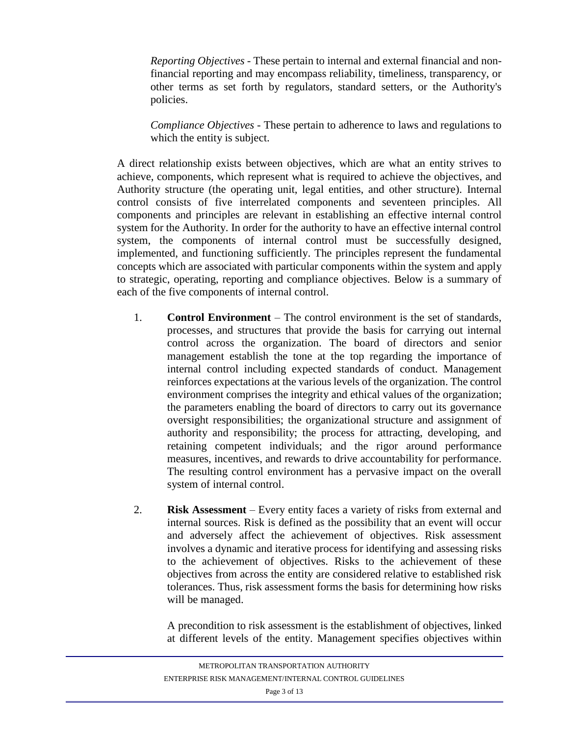*Reporting Objectives* - These pertain to internal and external financial and nonfinancial reporting and may encompass reliability, timeliness, transparency, or other terms as set forth by regulators, standard setters, or the Authority's policies.

*Compliance Objectives* - These pertain to adherence to laws and regulations to which the entity is subject.

A direct relationship exists between objectives, which are what an entity strives to achieve, components, which represent what is required to achieve the objectives, and Authority structure (the operating unit, legal entities, and other structure). Internal control consists of five interrelated components and seventeen principles. All components and principles are relevant in establishing an effective internal control system for the Authority. In order for the authority to have an effective internal control system, the components of internal control must be successfully designed, implemented, and functioning sufficiently. The principles represent the fundamental concepts which are associated with particular components within the system and apply to strategic, operating, reporting and compliance objectives. Below is a summary of each of the five components of internal control.

- 1. **Control Environment**  The control environment is the set of standards, processes, and structures that provide the basis for carrying out internal control across the organization. The board of directors and senior management establish the tone at the top regarding the importance of internal control including expected standards of conduct. Management reinforces expectations at the various levels of the organization. The control environment comprises the integrity and ethical values of the organization; the parameters enabling the board of directors to carry out its governance oversight responsibilities; the organizational structure and assignment of authority and responsibility; the process for attracting, developing, and retaining competent individuals; and the rigor around performance measures, incentives, and rewards to drive accountability for performance. The resulting control environment has a pervasive impact on the overall system of internal control.
- 2. **Risk Assessment**  Every entity faces a variety of risks from external and internal sources. Risk is defined as the possibility that an event will occur and adversely affect the achievement of objectives. Risk assessment involves a dynamic and iterative process for identifying and assessing risks to the achievement of objectives. Risks to the achievement of these objectives from across the entity are considered relative to established risk tolerances. Thus, risk assessment forms the basis for determining how risks will be managed.

A precondition to risk assessment is the establishment of objectives, linked at different levels of the entity. Management specifies objectives within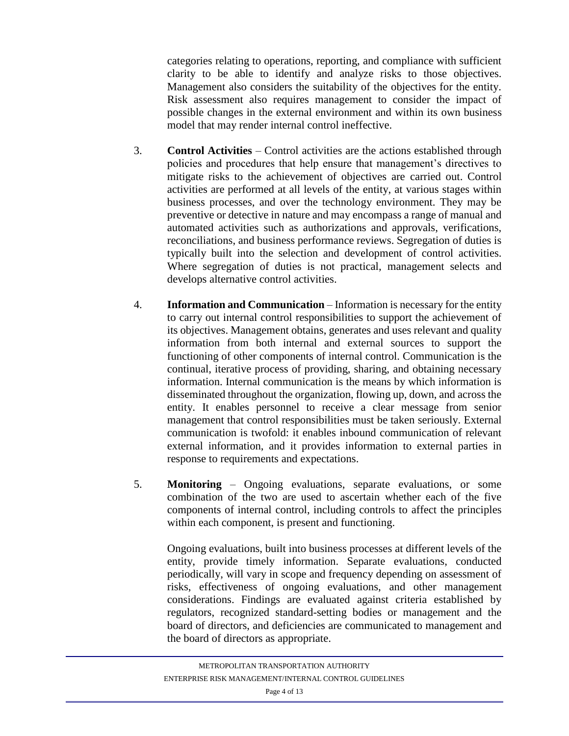categories relating to operations, reporting, and compliance with sufficient clarity to be able to identify and analyze risks to those objectives. Management also considers the suitability of the objectives for the entity. Risk assessment also requires management to consider the impact of possible changes in the external environment and within its own business model that may render internal control ineffective.

- 3. **Control Activities**  Control activities are the actions established through policies and procedures that help ensure that management's directives to mitigate risks to the achievement of objectives are carried out. Control activities are performed at all levels of the entity, at various stages within business processes, and over the technology environment. They may be preventive or detective in nature and may encompass a range of manual and automated activities such as authorizations and approvals, verifications, reconciliations, and business performance reviews. Segregation of duties is typically built into the selection and development of control activities. Where segregation of duties is not practical, management selects and develops alternative control activities.
- 4. **Information and Communication**  Information is necessary for the entity to carry out internal control responsibilities to support the achievement of its objectives. Management obtains, generates and uses relevant and quality information from both internal and external sources to support the functioning of other components of internal control. Communication is the continual, iterative process of providing, sharing, and obtaining necessary information. Internal communication is the means by which information is disseminated throughout the organization, flowing up, down, and across the entity. It enables personnel to receive a clear message from senior management that control responsibilities must be taken seriously. External communication is twofold: it enables inbound communication of relevant external information, and it provides information to external parties in response to requirements and expectations.
- 5. **Monitoring**  Ongoing evaluations, separate evaluations, or some combination of the two are used to ascertain whether each of the five components of internal control, including controls to affect the principles within each component, is present and functioning.

Ongoing evaluations, built into business processes at different levels of the entity, provide timely information. Separate evaluations, conducted periodically, will vary in scope and frequency depending on assessment of risks, effectiveness of ongoing evaluations, and other management considerations. Findings are evaluated against criteria established by regulators, recognized standard-setting bodies or management and the board of directors, and deficiencies are communicated to management and the board of directors as appropriate.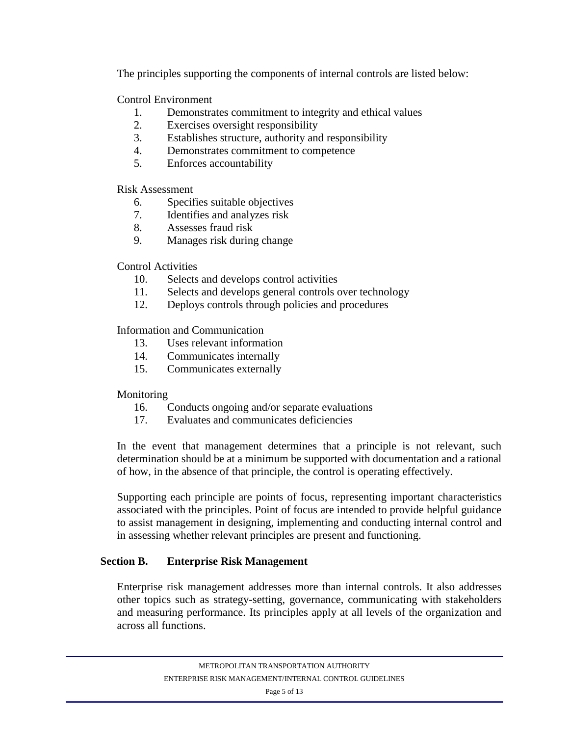The principles supporting the components of internal controls are listed below:

Control Environment

- 1. Demonstrates commitment to integrity and ethical values
- 2. Exercises oversight responsibility
- 3. Establishes structure, authority and responsibility
- 4. Demonstrates commitment to competence
- 5. Enforces accountability

Risk Assessment

- 6. Specifies suitable objectives
- 7. Identifies and analyzes risk
- 8. Assesses fraud risk
- 9. Manages risk during change

# Control Activities

- 10. Selects and develops control activities
- 11. Selects and develops general controls over technology
- 12. Deploys controls through policies and procedures

Information and Communication

- 13. Uses relevant information
- 14. Communicates internally
- 15. Communicates externally

# Monitoring

- 16. Conducts ongoing and/or separate evaluations
- 17. Evaluates and communicates deficiencies

In the event that management determines that a principle is not relevant, such determination should be at a minimum be supported with documentation and a rational of how, in the absence of that principle, the control is operating effectively.

Supporting each principle are points of focus, representing important characteristics associated with the principles. Point of focus are intended to provide helpful guidance to assist management in designing, implementing and conducting internal control and in assessing whether relevant principles are present and functioning.

# **Section B. Enterprise Risk Management**

Enterprise risk management addresses more than internal controls. It also addresses other topics such as strategy-setting, governance, communicating with stakeholders and measuring performance. Its principles apply at all levels of the organization and across all functions.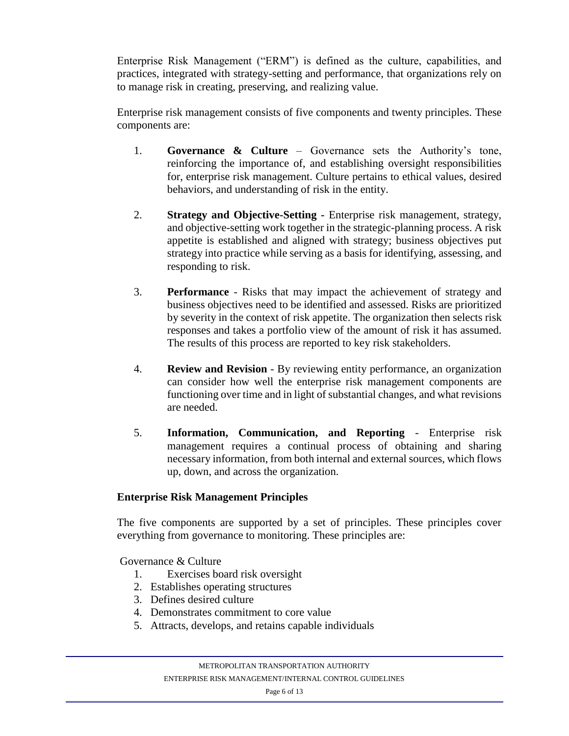Enterprise Risk Management ("ERM") is defined as the culture, capabilities, and practices, integrated with strategy-setting and performance, that organizations rely on to manage risk in creating, preserving, and realizing value.

Enterprise risk management consists of five components and twenty principles. These components are:

- 1. **Governance & Culture** Governance sets the Authority's tone, reinforcing the importance of, and establishing oversight responsibilities for, enterprise risk management. Culture pertains to ethical values, desired behaviors, and understanding of risk in the entity.
- 2. **Strategy and Objective-Setting -** Enterprise risk management, strategy, and objective-setting work together in the strategic-planning process. A risk appetite is established and aligned with strategy; business objectives put strategy into practice while serving as a basis for identifying, assessing, and responding to risk.
- 3. **Performance** Risks that may impact the achievement of strategy and business objectives need to be identified and assessed. Risks are prioritized by severity in the context of risk appetite. The organization then selects risk responses and takes a portfolio view of the amount of risk it has assumed. The results of this process are reported to key risk stakeholders.
- 4. **Review and Revision** By reviewing entity performance, an organization can consider how well the enterprise risk management components are functioning over time and in light of substantial changes, and what revisions are needed.
- 5. **Information, Communication, and Reporting** Enterprise risk management requires a continual process of obtaining and sharing necessary information, from both internal and external sources, which flows up, down, and across the organization.

### **Enterprise Risk Management Principles**

The five components are supported by a set of principles. These principles cover everything from governance to monitoring. These principles are:

Governance & Culture

- 1. Exercises board risk oversight
- 2. Establishes operating structures
- 3. Defines desired culture
- 4. Demonstrates commitment to core value
- 5. Attracts, develops, and retains capable individuals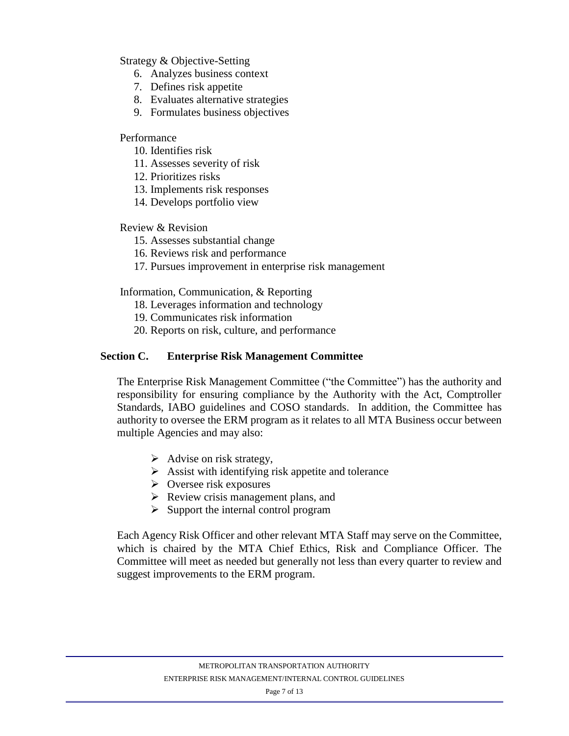Strategy & Objective-Setting

- 6. Analyzes business context
- 7. Defines risk appetite
- 8. Evaluates alternative strategies
- 9. Formulates business objectives

#### Performance

- 10. Identifies risk
- 11. Assesses severity of risk
- 12. Prioritizes risks
- 13. Implements risk responses
- 14. Develops portfolio view

#### Review & Revision

- 15. Assesses substantial change
- 16. Reviews risk and performance
- 17. Pursues improvement in enterprise risk management

Information, Communication, & Reporting

- 18. Leverages information and technology
- 19. Communicates risk information
- 20. Reports on risk, culture, and performance

#### **Section C. Enterprise Risk Management Committee**

The Enterprise Risk Management Committee ("the Committee") has the authority and responsibility for ensuring compliance by the Authority with the Act, Comptroller Standards, IABO guidelines and COSO standards. In addition, the Committee has authority to oversee the ERM program as it relates to all MTA Business occur between multiple Agencies and may also:

- $\triangleright$  Advise on risk strategy,
- $\triangleright$  Assist with identifying risk appetite and tolerance
- $\triangleright$  Oversee risk exposures
- ➢ Review crisis management plans, and
- $\triangleright$  Support the internal control program

Each Agency Risk Officer and other relevant MTA Staff may serve on the Committee, which is chaired by the MTA Chief Ethics, Risk and Compliance Officer. The Committee will meet as needed but generally not less than every quarter to review and suggest improvements to the ERM program.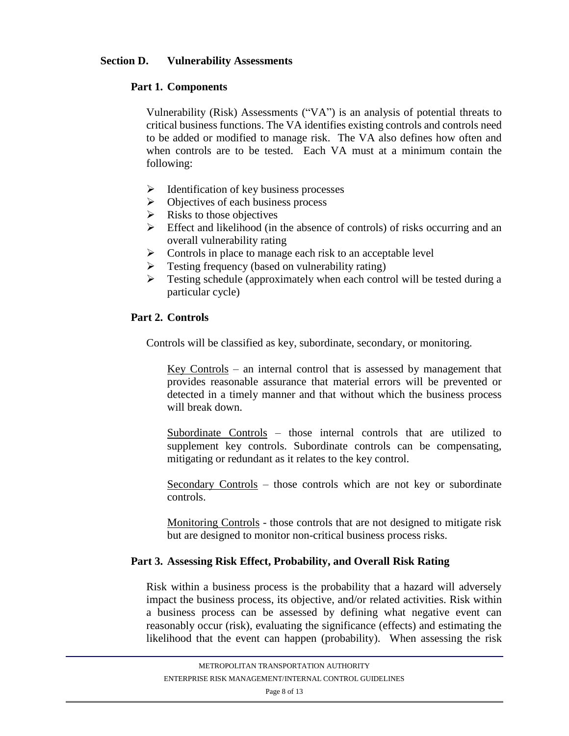#### **Section D. Vulnerability Assessments**

### **Part 1. Components**

Vulnerability (Risk) Assessments ("VA") is an analysis of potential threats to critical business functions. The VA identifies existing controls and controls need to be added or modified to manage risk. The VA also defines how often and when controls are to be tested. Each VA must at a minimum contain the following:

- $\triangleright$  Identification of key business processes
- ➢ Objectives of each business process
- $\triangleright$  Risks to those objectives
- ➢ Effect and likelihood (in the absence of controls) of risks occurring and an overall vulnerability rating
- $\triangleright$  Controls in place to manage each risk to an acceptable level
- ➢ Testing frequency (based on vulnerability rating)
- ➢ Testing schedule (approximately when each control will be tested during a particular cycle)

#### **Part 2. Controls**

Controls will be classified as key, subordinate, secondary, or monitoring.

Key Controls – an internal control that is assessed by management that provides reasonable assurance that material errors will be prevented or detected in a timely manner and that without which the business process will break down.

Subordinate Controls – those internal controls that are utilized to supplement key controls. Subordinate controls can be compensating, mitigating or redundant as it relates to the key control.

Secondary Controls – those controls which are not key or subordinate controls.

Monitoring Controls - those controls that are not designed to mitigate risk but are designed to monitor non-critical business process risks.

#### **Part 3. Assessing Risk Effect, Probability, and Overall Risk Rating**

Risk within a business process is the probability that a hazard will adversely impact the business process, its objective, and/or related activities. Risk within a business process can be assessed by defining what negative event can reasonably occur (risk), evaluating the significance (effects) and estimating the likelihood that the event can happen (probability). When assessing the risk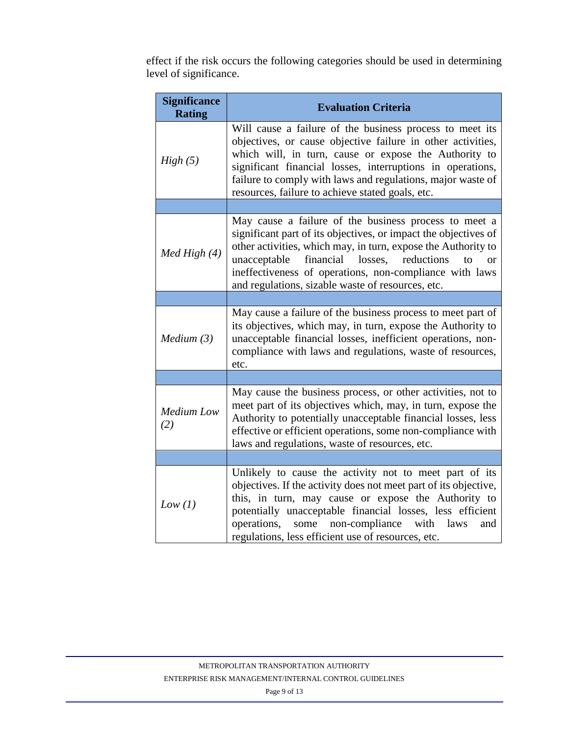effect if the risk occurs the following categories should be used in determining level of significance.

| <b>Significance</b><br><b>Rating</b> | <b>Evaluation Criteria</b>                                                                                                                                                                                                                                                                                                                                                               |  |  |
|--------------------------------------|------------------------------------------------------------------------------------------------------------------------------------------------------------------------------------------------------------------------------------------------------------------------------------------------------------------------------------------------------------------------------------------|--|--|
| High(5)                              | Will cause a failure of the business process to meet its<br>objectives, or cause objective failure in other activities,<br>which will, in turn, cause or expose the Authority to<br>significant financial losses, interruptions in operations,<br>failure to comply with laws and regulations, major waste of<br>resources, failure to achieve stated goals, etc.                        |  |  |
|                                      |                                                                                                                                                                                                                                                                                                                                                                                          |  |  |
| Med High (4)                         | May cause a failure of the business process to meet a<br>significant part of its objectives, or impact the objectives of<br>other activities, which may, in turn, expose the Authority to<br>financial losses,<br>reductions<br>unacceptable<br>$\mathbf{t}$<br>$\alpha$<br>ineffectiveness of operations, non-compliance with laws<br>and regulations, sizable waste of resources, etc. |  |  |
|                                      |                                                                                                                                                                                                                                                                                                                                                                                          |  |  |
| Median(3)                            | May cause a failure of the business process to meet part of<br>its objectives, which may, in turn, expose the Authority to<br>unacceptable financial losses, inefficient operations, non-<br>compliance with laws and regulations, waste of resources,<br>etc.                                                                                                                           |  |  |
|                                      |                                                                                                                                                                                                                                                                                                                                                                                          |  |  |
| <b>Medium</b> Low<br>(2)             | May cause the business process, or other activities, not to<br>meet part of its objectives which, may, in turn, expose the<br>Authority to potentially unacceptable financial losses, less<br>effective or efficient operations, some non-compliance with<br>laws and regulations, waste of resources, etc.                                                                              |  |  |
|                                      |                                                                                                                                                                                                                                                                                                                                                                                          |  |  |
| Low (1)                              | Unlikely to cause the activity not to meet part of its<br>objectives. If the activity does not meet part of its objective,<br>this, in turn, may cause or expose the Authority to<br>potentially unacceptable financial losses, less efficient<br>non-compliance<br>with<br>operations,<br>some<br>laws<br>and<br>regulations, less efficient use of resources, etc.                     |  |  |

Page 9 of 13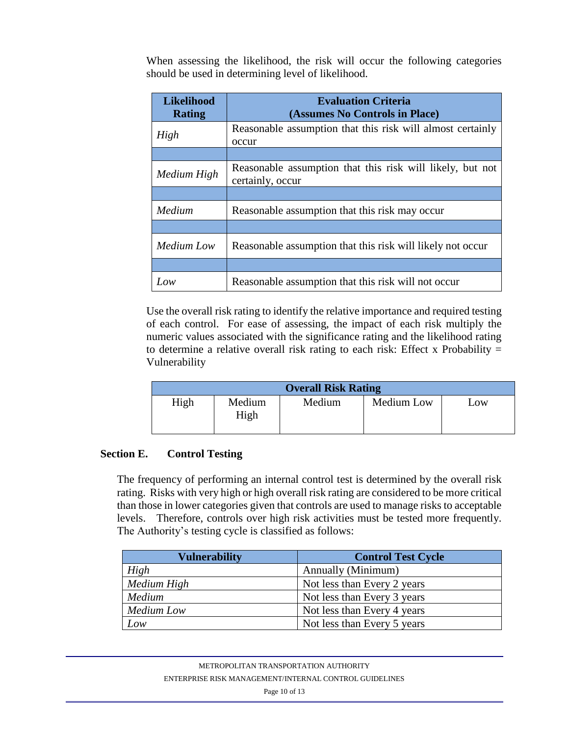When assessing the likelihood, the risk will occur the following categories should be used in determining level of likelihood.

| <b>Likelihood</b><br><b>Rating</b> | <b>Evaluation Criteria</b><br>(Assumes No Controls in Place)                  |  |  |
|------------------------------------|-------------------------------------------------------------------------------|--|--|
| High                               | Reasonable assumption that this risk will almost certainly<br>occur           |  |  |
|                                    |                                                                               |  |  |
| Medium High                        | Reasonable assumption that this risk will likely, but not<br>certainly, occur |  |  |
|                                    |                                                                               |  |  |
| Medium                             | Reasonable assumption that this risk may occur                                |  |  |
|                                    |                                                                               |  |  |
| Medium Low                         | Reasonable assumption that this risk will likely not occur                    |  |  |
|                                    |                                                                               |  |  |
| Low                                | Reasonable assumption that this risk will not occur                           |  |  |

Use the overall risk rating to identify the relative importance and required testing of each control. For ease of assessing, the impact of each risk multiply the numeric values associated with the significance rating and the likelihood rating to determine a relative overall risk rating to each risk: Effect x Probability  $=$ Vulnerability

| <b>Overall Risk Rating</b> |                |        |            |     |  |  |
|----------------------------|----------------|--------|------------|-----|--|--|
| High                       | Medium<br>High | Medium | Medium Low | Low |  |  |

#### **Section E. Control Testing**

The frequency of performing an internal control test is determined by the overall risk rating. Risks with very high or high overall risk rating are considered to be more critical than those in lower categories given that controls are used to manage risks to acceptable levels. Therefore, controls over high risk activities must be tested more frequently. The Authority's testing cycle is classified as follows:

| <b>Vulnerability</b> | <b>Control Test Cycle</b>   |
|----------------------|-----------------------------|
| High                 | Annually (Minimum)          |
| Medium High          | Not less than Every 2 years |
| Medium               | Not less than Every 3 years |
| <b>Medium</b> Low    | Not less than Every 4 years |
| Low                  | Not less than Every 5 years |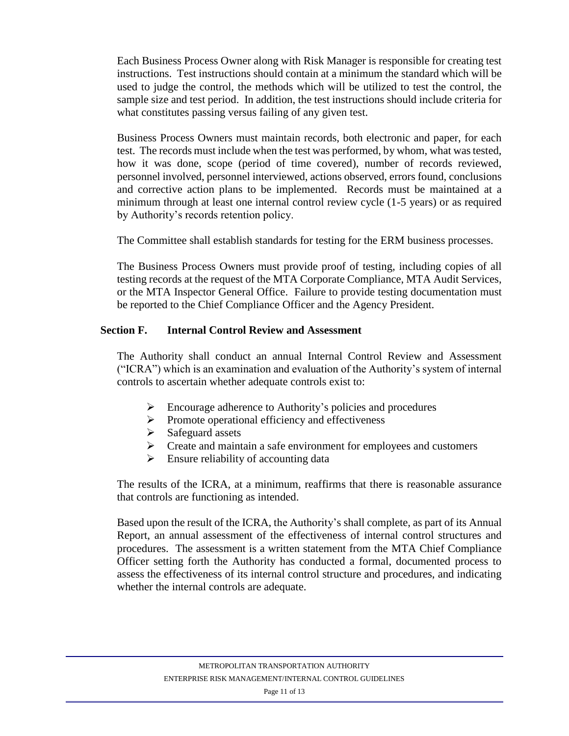Each Business Process Owner along with Risk Manager is responsible for creating test instructions. Test instructions should contain at a minimum the standard which will be used to judge the control, the methods which will be utilized to test the control, the sample size and test period. In addition, the test instructions should include criteria for what constitutes passing versus failing of any given test.

Business Process Owners must maintain records, both electronic and paper, for each test. The records must include when the test was performed, by whom, what was tested, how it was done, scope (period of time covered), number of records reviewed, personnel involved, personnel interviewed, actions observed, errors found, conclusions and corrective action plans to be implemented. Records must be maintained at a minimum through at least one internal control review cycle (1-5 years) or as required by Authority's records retention policy.

The Committee shall establish standards for testing for the ERM business processes.

The Business Process Owners must provide proof of testing, including copies of all testing records at the request of the MTA Corporate Compliance, MTA Audit Services, or the MTA Inspector General Office. Failure to provide testing documentation must be reported to the Chief Compliance Officer and the Agency President.

#### **Section F. Internal Control Review and Assessment**

The Authority shall conduct an annual Internal Control Review and Assessment ("ICRA") which is an examination and evaluation of the Authority's system of internal controls to ascertain whether adequate controls exist to:

- $\triangleright$  Encourage adherence to Authority's policies and procedures
- ➢ Promote operational efficiency and effectiveness
- ➢ Safeguard assets
- ➢ Create and maintain a safe environment for employees and customers
- $\triangleright$  Ensure reliability of accounting data

The results of the ICRA, at a minimum, reaffirms that there is reasonable assurance that controls are functioning as intended.

Based upon the result of the ICRA, the Authority's shall complete, as part of its Annual Report, an annual assessment of the effectiveness of internal control structures and procedures. The assessment is a written statement from the MTA Chief Compliance Officer setting forth the Authority has conducted a formal, documented process to assess the effectiveness of its internal control structure and procedures, and indicating whether the internal controls are adequate.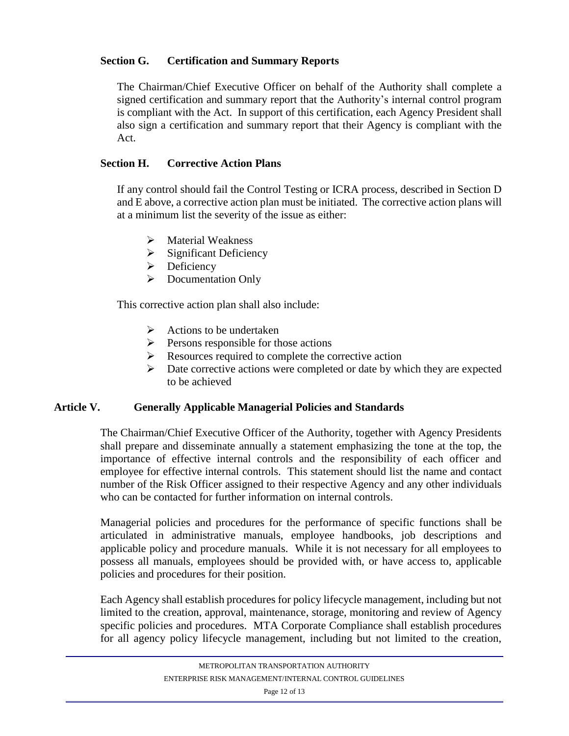# **Section G. Certification and Summary Reports**

The Chairman/Chief Executive Officer on behalf of the Authority shall complete a signed certification and summary report that the Authority's internal control program is compliant with the Act. In support of this certification, each Agency President shall also sign a certification and summary report that their Agency is compliant with the Act.

### **Section H. Corrective Action Plans**

If any control should fail the Control Testing or ICRA process, described in Section D and E above, a corrective action plan must be initiated. The corrective action plans will at a minimum list the severity of the issue as either:

- ➢ Material Weakness
- $\triangleright$  Significant Deficiency
- ➢ Deficiency
- ➢ Documentation Only

This corrective action plan shall also include:

- $\triangleright$  Actions to be undertaken
- ➢ Persons responsible for those actions
- ➢ Resources required to complete the corrective action
- $\triangleright$  Date corrective actions were completed or date by which they are expected to be achieved

### **Article V. Generally Applicable Managerial Policies and Standards**

The Chairman/Chief Executive Officer of the Authority, together with Agency Presidents shall prepare and disseminate annually a statement emphasizing the tone at the top, the importance of effective internal controls and the responsibility of each officer and employee for effective internal controls. This statement should list the name and contact number of the Risk Officer assigned to their respective Agency and any other individuals who can be contacted for further information on internal controls.

Managerial policies and procedures for the performance of specific functions shall be articulated in administrative manuals, employee handbooks, job descriptions and applicable policy and procedure manuals. While it is not necessary for all employees to possess all manuals, employees should be provided with, or have access to, applicable policies and procedures for their position.

Each Agency shall establish procedures for policy lifecycle management, including but not limited to the creation, approval, maintenance, storage, monitoring and review of Agency specific policies and procedures. MTA Corporate Compliance shall establish procedures for all agency policy lifecycle management, including but not limited to the creation,